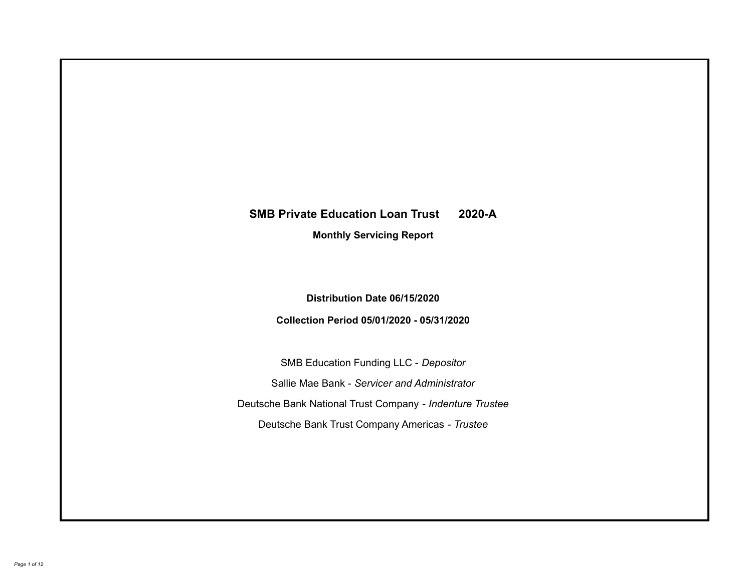# **SMB Private Education Loan Trust 2020-A Monthly Servicing Report**

## **Distribution Date 06/15/2020**

## **Collection Period 05/01/2020 - 05/31/2020**

SMB Education Funding LLC - *Depositor* Sallie Mae Bank - *Servicer and Administrator* Deutsche Bank National Trust Company - *Indenture Trustee* Deutsche Bank Trust Company Americas - *Trustee*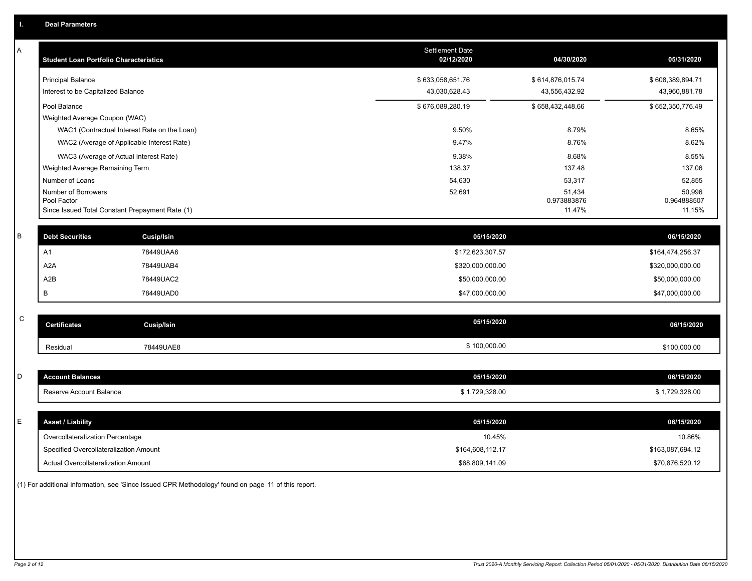| Α | <b>Student Loan Portfolio Characteristics</b>   |                                              | <b>Settlement Date</b><br>02/12/2020 | 04/30/2020            | 05/31/2020            |
|---|-------------------------------------------------|----------------------------------------------|--------------------------------------|-----------------------|-----------------------|
|   | <b>Principal Balance</b>                        |                                              | \$633,058,651.76                     | \$614,876,015.74      | \$608,389,894.71      |
|   | Interest to be Capitalized Balance              |                                              | 43,030,628.43                        | 43,556,432.92         | 43,960,881.78         |
|   | Pool Balance                                    |                                              | \$676,089,280.19                     | \$658,432,448.66      | \$652,350,776.49      |
|   | Weighted Average Coupon (WAC)                   |                                              |                                      |                       |                       |
|   |                                                 | WAC1 (Contractual Interest Rate on the Loan) | 9.50%                                | 8.79%                 | 8.65%                 |
|   |                                                 | WAC2 (Average of Applicable Interest Rate)   | 9.47%                                | 8.76%                 | 8.62%                 |
|   | WAC3 (Average of Actual Interest Rate)          |                                              | 9.38%                                | 8.68%                 | 8.55%                 |
|   | Weighted Average Remaining Term                 |                                              | 138.37                               | 137.48                | 137.06                |
|   | Number of Loans                                 |                                              | 54,630                               | 53,317                | 52,855                |
|   | Number of Borrowers<br>Pool Factor              |                                              | 52,691                               | 51,434<br>0.973883876 | 50,996<br>0.964888507 |
|   | Since Issued Total Constant Prepayment Rate (1) |                                              |                                      | 11.47%                | 11.15%                |
|   |                                                 |                                              |                                      |                       |                       |
| В | <b>Debt Securities</b>                          | Cusip/Isin                                   | 05/15/2020                           |                       | 06/15/2020            |
|   | A <sub>1</sub>                                  | 78449UAA6                                    | \$172,623,307.57                     |                       | \$164,474,256.37      |
|   | A <sub>2</sub> A                                | 78449UAB4                                    | \$320,000,000.00                     |                       | \$320,000,000.00      |
|   | A2B                                             | 78449UAC2                                    | \$50,000,000.00                      |                       | \$50,000,000.00       |
|   | В                                               | 78449UAD0                                    | \$47,000,000.00                      |                       | \$47,000,000.00       |
|   |                                                 |                                              |                                      |                       |                       |
| C | <b>Certificates</b>                             | <b>Cusip/Isin</b>                            | 05/15/2020                           |                       | 06/15/2020            |
|   | Residual                                        | 78449UAE8                                    | \$100,000.00                         |                       | \$100,000.00          |
|   |                                                 |                                              |                                      |                       |                       |
| D | <b>Account Balances</b>                         |                                              | 05/15/2020                           |                       | 06/15/2020            |
|   | Reserve Account Balance                         |                                              | \$1,729,328.00                       |                       | \$1,729,328.00        |
|   |                                                 |                                              |                                      |                       |                       |
| E | <b>Asset / Liability</b>                        |                                              | 05/15/2020                           |                       | 06/15/2020            |
|   | Overcollateralization Percentage                |                                              | 10.45%                               |                       | 10.86%                |
|   | Specified Overcollateralization Amount          |                                              | \$164,608,112.17                     |                       | \$163,087,694.12      |
|   | <b>Actual Overcollateralization Amount</b>      |                                              | \$68,809,141.09                      |                       | \$70,876,520.12       |

(1) For additional information, see 'Since Issued CPR Methodology' found on page 11 of this report.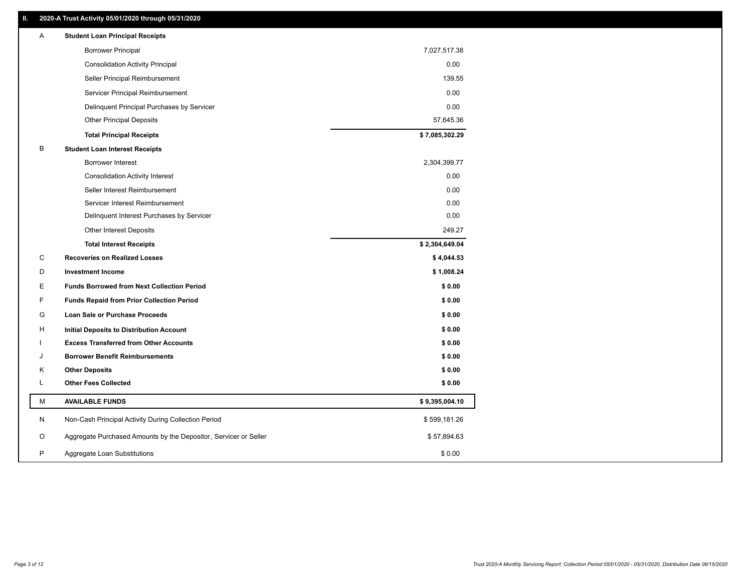## **II. 2020-A Trust Activity 05/01/2020 through 05/31/2020**

| Α                             | <b>Student Loan Principal Receipts</b>                           |                |  |
|-------------------------------|------------------------------------------------------------------|----------------|--|
|                               | <b>Borrower Principal</b>                                        | 7,027,517.38   |  |
|                               | <b>Consolidation Activity Principal</b>                          | 0.00           |  |
|                               | Seller Principal Reimbursement                                   | 139.55         |  |
|                               | Servicer Principal Reimbursement                                 | 0.00           |  |
|                               | Delinquent Principal Purchases by Servicer                       | 0.00           |  |
|                               | <b>Other Principal Deposits</b>                                  | 57,645.36      |  |
|                               | <b>Total Principal Receipts</b>                                  | \$7,085,302.29 |  |
| B                             | <b>Student Loan Interest Receipts</b>                            |                |  |
|                               | Borrower Interest                                                | 2,304,399.77   |  |
|                               | <b>Consolidation Activity Interest</b>                           | 0.00           |  |
|                               | Seller Interest Reimbursement                                    | 0.00           |  |
|                               | Servicer Interest Reimbursement                                  | 0.00           |  |
|                               | Delinquent Interest Purchases by Servicer                        | 0.00           |  |
|                               | <b>Other Interest Deposits</b>                                   | 249.27         |  |
|                               | <b>Total Interest Receipts</b>                                   | \$2,304,649.04 |  |
| C                             | <b>Recoveries on Realized Losses</b>                             | \$4,044.53     |  |
| D<br><b>Investment Income</b> |                                                                  | \$1,008.24     |  |
| Е                             | <b>Funds Borrowed from Next Collection Period</b>                | \$0.00         |  |
| F                             | <b>Funds Repaid from Prior Collection Period</b>                 | \$0.00         |  |
| G                             | Loan Sale or Purchase Proceeds                                   | \$0.00         |  |
| н                             | <b>Initial Deposits to Distribution Account</b>                  | \$0.00         |  |
|                               | <b>Excess Transferred from Other Accounts</b>                    | \$0.00         |  |
| J                             | <b>Borrower Benefit Reimbursements</b>                           | \$0.00         |  |
| Κ<br><b>Other Deposits</b>    |                                                                  | \$0.00         |  |
| L                             | <b>Other Fees Collected</b>                                      | \$0.00         |  |
| М                             | <b>AVAILABLE FUNDS</b>                                           | \$9,395,004.10 |  |
| N                             | Non-Cash Principal Activity During Collection Period             | \$599,181.26   |  |
| O                             | Aggregate Purchased Amounts by the Depositor, Servicer or Seller | \$57,894.63    |  |
| P                             | Aggregate Loan Substitutions                                     | \$0.00         |  |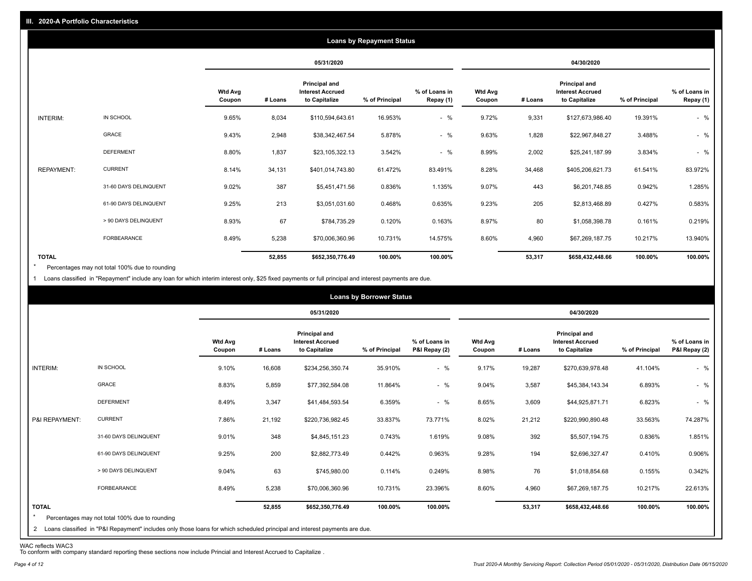|                   |                       |                          |         |                                                                  | <b>Loans by Repayment Status</b> |                            |                          |         |                                                           |                |                            |
|-------------------|-----------------------|--------------------------|---------|------------------------------------------------------------------|----------------------------------|----------------------------|--------------------------|---------|-----------------------------------------------------------|----------------|----------------------------|
|                   |                       |                          |         | 05/31/2020                                                       |                                  |                            |                          |         | 04/30/2020                                                |                |                            |
|                   |                       | <b>Wtd Avg</b><br>Coupon | # Loans | <b>Principal and</b><br><b>Interest Accrued</b><br>to Capitalize | % of Principal                   | % of Loans in<br>Repay (1) | <b>Wtd Avg</b><br>Coupon | # Loans | Principal and<br><b>Interest Accrued</b><br>to Capitalize | % of Principal | % of Loans in<br>Repay (1) |
| INTERIM:          | IN SCHOOL             | 9.65%                    | 8,034   | \$110,594,643.61                                                 | 16.953%                          | $-$ %                      | 9.72%                    | 9,331   | \$127,673,986.40                                          | 19.391%        | $-$ %                      |
|                   | GRACE                 | 9.43%                    | 2,948   | \$38,342,467.54                                                  | 5.878%                           | $-$ %                      | 9.63%                    | 1,828   | \$22,967,848.27                                           | 3.488%         | $-$ %                      |
|                   | <b>DEFERMENT</b>      | 8.80%                    | 1,837   | \$23,105,322.13                                                  | 3.542%                           | $-$ %                      | 8.99%                    | 2,002   | \$25,241,187.99                                           | 3.834%         | $-$ %                      |
| <b>REPAYMENT:</b> | <b>CURRENT</b>        | 8.14%                    | 34,131  | \$401,014,743.80                                                 | 61.472%                          | 83.491%                    | 8.28%                    | 34,468  | \$405,206,621.73                                          | 61.541%        | 83.972%                    |
|                   | 31-60 DAYS DELINQUENT | 9.02%                    | 387     | \$5,451,471.56                                                   | 0.836%                           | 1.135%                     | 9.07%                    | 443     | \$6,201,748.85                                            | 0.942%         | 1.285%                     |
|                   | 61-90 DAYS DELINQUENT | 9.25%                    | 213     | \$3,051,031.60                                                   | 0.468%                           | 0.635%                     | 9.23%                    | 205     | \$2,813,468.89                                            | 0.427%         | 0.583%                     |
|                   | > 90 DAYS DELINQUENT  | 8.93%                    | 67      | \$784,735.29                                                     | 0.120%                           | 0.163%                     | 8.97%                    | 80      | \$1,058,398.78                                            | 0.161%         | 0.219%                     |
|                   | FORBEARANCE           | 8.49%                    | 5,238   | \$70,006,360.96                                                  | 10.731%                          | 14.575%                    | 8.60%                    | 4,960   | \$67,269,187.75                                           | 10.217%        | 13.940%                    |
| <b>TOTAL</b>      |                       |                          | 52,855  | \$652,350,776.49                                                 | 100.00%                          | 100.00%                    |                          | 53,317  | \$658,432,448.66                                          | 100.00%        | 100.00%                    |

Percentages may not total 100% due to rounding \*

1 Loans classified in "Repayment" include any loan for which interim interest only, \$25 fixed payments or full principal and interest payments are due.

|                                |                                                                                                                                                                              |                          |         |                                                           | <b>Loans by Borrower Status</b> |                                |                          |         |                                                                  |                |                                |
|--------------------------------|------------------------------------------------------------------------------------------------------------------------------------------------------------------------------|--------------------------|---------|-----------------------------------------------------------|---------------------------------|--------------------------------|--------------------------|---------|------------------------------------------------------------------|----------------|--------------------------------|
|                                |                                                                                                                                                                              |                          |         | 05/31/2020                                                |                                 |                                |                          |         | 04/30/2020                                                       |                |                                |
|                                |                                                                                                                                                                              | <b>Wtd Avg</b><br>Coupon | # Loans | Principal and<br><b>Interest Accrued</b><br>to Capitalize | % of Principal                  | % of Loans in<br>P&I Repay (2) | <b>Wtd Avg</b><br>Coupon | # Loans | <b>Principal and</b><br><b>Interest Accrued</b><br>to Capitalize | % of Principal | % of Loans in<br>P&I Repay (2) |
| INTERIM:                       | IN SCHOOL                                                                                                                                                                    | 9.10%                    | 16,608  | \$234,256,350.74                                          | 35.910%                         | $-$ %                          | 9.17%                    | 19,287  | \$270,639,978.48                                                 | 41.104%        | $-$ %                          |
|                                | <b>GRACE</b>                                                                                                                                                                 | 8.83%                    | 5,859   | \$77,392,584.08                                           | 11.864%                         | $-$ %                          | 9.04%                    | 3,587   | \$45,384,143.34                                                  | 6.893%         | $-$ %                          |
|                                | <b>DEFERMENT</b>                                                                                                                                                             | 8.49%                    | 3,347   | \$41,484,593.54                                           | 6.359%                          | $-$ %                          | 8.65%                    | 3,609   | \$44,925,871.71                                                  | 6.823%         | $-$ %                          |
| P&I REPAYMENT:                 | <b>CURRENT</b>                                                                                                                                                               | 7.86%                    | 21,192  | \$220,736,982.45                                          | 33.837%                         | 73.771%                        | 8.02%                    | 21,212  | \$220,990,890.48                                                 | 33.563%        | 74.287%                        |
|                                | 31-60 DAYS DELINQUENT                                                                                                                                                        | 9.01%                    | 348     | \$4,845,151.23                                            | 0.743%                          | 1.619%                         | 9.08%                    | 392     | \$5,507,194.75                                                   | 0.836%         | 1.851%                         |
|                                | 61-90 DAYS DELINQUENT                                                                                                                                                        | 9.25%                    | 200     | \$2,882,773.49                                            | 0.442%                          | 0.963%                         | 9.28%                    | 194     | \$2,696,327.47                                                   | 0.410%         | 0.906%                         |
|                                | > 90 DAYS DELINQUENT                                                                                                                                                         | 9.04%                    | 63      | \$745,980.00                                              | 0.114%                          | 0.249%                         | 8.98%                    | 76      | \$1,018,854.68                                                   | 0.155%         | 0.342%                         |
|                                | FORBEARANCE                                                                                                                                                                  | 8.49%                    | 5,238   | \$70,006,360.96                                           | 10.731%                         | 23.396%                        | 8.60%                    | 4,960   | \$67,269,187.75                                                  | 10.217%        | 22.613%                        |
| <b>TOTAL</b><br>$\overline{2}$ | Percentages may not total 100% due to rounding<br>Loans classified in "P&I Repayment" includes only those loans for which scheduled principal and interest payments are due. |                          | 52,855  | \$652,350,776.49                                          | 100.00%                         | 100.00%                        |                          | 53,317  | \$658,432,448.66                                                 | 100.00%        | 100.00%                        |

WAC reflects WAC3 To conform with company standard reporting these sections now include Princial and Interest Accrued to Capitalize .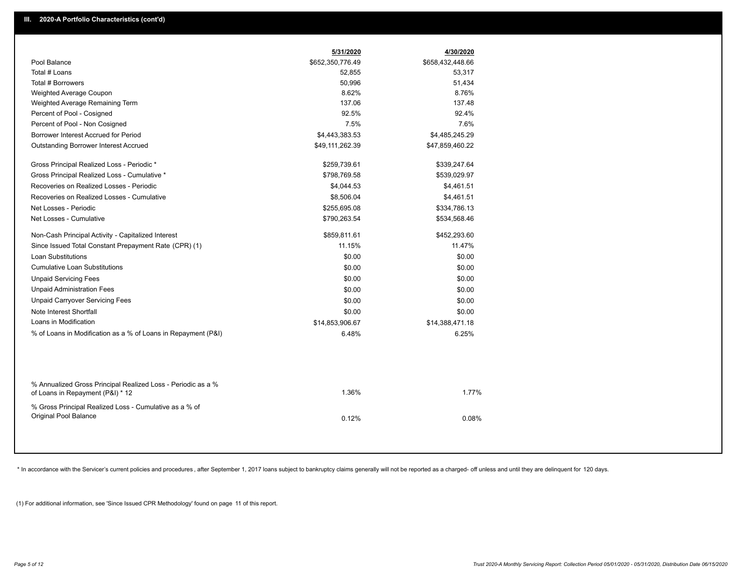|                                                                                                  | 5/31/2020        | 4/30/2020        |
|--------------------------------------------------------------------------------------------------|------------------|------------------|
| Pool Balance                                                                                     | \$652,350,776.49 | \$658,432,448.66 |
| Total # Loans                                                                                    | 52,855           | 53,317           |
| Total # Borrowers                                                                                | 50,996           | 51,434           |
| Weighted Average Coupon                                                                          | 8.62%            | 8.76%            |
| Weighted Average Remaining Term                                                                  | 137.06           | 137.48           |
| Percent of Pool - Cosigned                                                                       | 92.5%            | 92.4%            |
| Percent of Pool - Non Cosigned                                                                   | 7.5%             | 7.6%             |
| Borrower Interest Accrued for Period                                                             | \$4,443,383.53   | \$4,485,245.29   |
| Outstanding Borrower Interest Accrued                                                            | \$49,111,262.39  | \$47,859,460.22  |
| Gross Principal Realized Loss - Periodic *                                                       | \$259,739.61     | \$339,247.64     |
| Gross Principal Realized Loss - Cumulative *                                                     | \$798,769.58     | \$539,029.97     |
| Recoveries on Realized Losses - Periodic                                                         | \$4,044.53       | \$4,461.51       |
| Recoveries on Realized Losses - Cumulative                                                       | \$8,506.04       | \$4,461.51       |
| Net Losses - Periodic                                                                            | \$255,695.08     | \$334,786.13     |
| Net Losses - Cumulative                                                                          | \$790,263.54     | \$534,568.46     |
| Non-Cash Principal Activity - Capitalized Interest                                               | \$859,811.61     | \$452,293.60     |
| Since Issued Total Constant Prepayment Rate (CPR) (1)                                            | 11.15%           | 11.47%           |
| Loan Substitutions                                                                               | \$0.00           | \$0.00           |
| <b>Cumulative Loan Substitutions</b>                                                             | \$0.00           | \$0.00           |
| <b>Unpaid Servicing Fees</b>                                                                     | \$0.00           | \$0.00           |
| <b>Unpaid Administration Fees</b>                                                                | \$0.00           | \$0.00           |
| <b>Unpaid Carryover Servicing Fees</b>                                                           | \$0.00           | \$0.00           |
| Note Interest Shortfall                                                                          | \$0.00           | \$0.00           |
| Loans in Modification                                                                            | \$14,853,906.67  | \$14,388,471.18  |
| % of Loans in Modification as a % of Loans in Repayment (P&I)                                    | 6.48%            | 6.25%            |
|                                                                                                  |                  |                  |
| % Annualized Gross Principal Realized Loss - Periodic as a %<br>of Loans in Repayment (P&I) * 12 | 1.36%            | 1.77%            |
| % Gross Principal Realized Loss - Cumulative as a % of                                           |                  |                  |
| Original Pool Balance                                                                            | 0.12%            | 0.08%            |
|                                                                                                  |                  |                  |

\* In accordance with the Servicer's current policies and procedures, after September 1, 2017 loans subject to bankruptcy claims generally will not be reported as a charged- off unless and until they are delinquent for 120

(1) For additional information, see 'Since Issued CPR Methodology' found on page 11 of this report.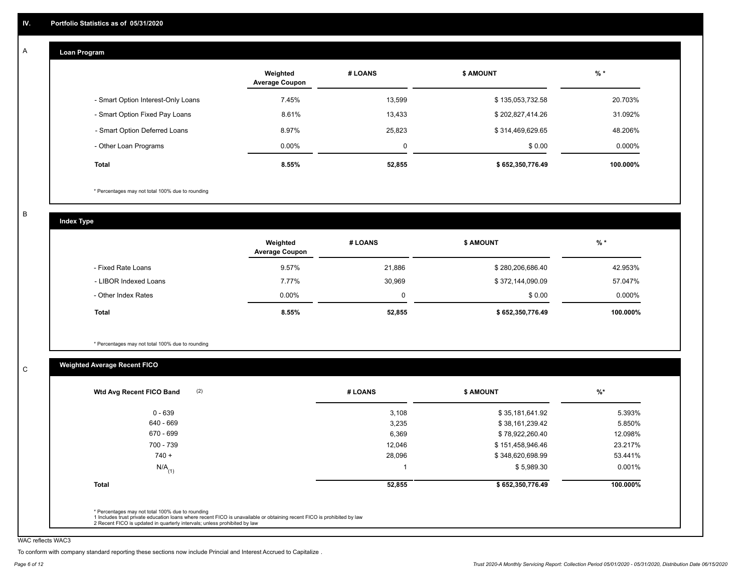#### **Loan Program**  A

|                                    | Weighted<br><b>Average Coupon</b> | # LOANS | <b>S AMOUNT</b>  | $%$ *     |
|------------------------------------|-----------------------------------|---------|------------------|-----------|
| - Smart Option Interest-Only Loans | 7.45%                             | 13,599  | \$135,053,732.58 | 20.703%   |
| - Smart Option Fixed Pay Loans     | 8.61%                             | 13,433  | \$202,827,414.26 | 31.092%   |
| - Smart Option Deferred Loans      | 8.97%                             | 25.823  | \$314,469,629.65 | 48.206%   |
| - Other Loan Programs              | $0.00\%$                          | 0       | \$0.00           | $0.000\%$ |
| <b>Total</b>                       | 8.55%                             | 52,855  | \$652,350,776.49 | 100.000%  |

\* Percentages may not total 100% due to rounding

B

C

**Index Type**

|                       | Weighted<br><b>Average Coupon</b> | # LOANS | \$ AMOUNT        | $%$ *     |
|-----------------------|-----------------------------------|---------|------------------|-----------|
| - Fixed Rate Loans    | 9.57%                             | 21,886  | \$280,206,686.40 | 42.953%   |
| - LIBOR Indexed Loans | 7.77%                             | 30,969  | \$372,144,090.09 | 57.047%   |
| - Other Index Rates   | $0.00\%$                          | C       | \$0.00           | $0.000\%$ |
| Total                 | 8.55%                             | 52,855  | \$652,350,776.49 | 100.000%  |

\* Percentages may not total 100% due to rounding

## **Weighted Average Recent FICO**

| $0 - 639$            | 3,108  | \$35,181,641.92  |          |
|----------------------|--------|------------------|----------|
|                      |        |                  | 5.393%   |
| 640 - 669            | 3,235  | \$38,161,239.42  | 5.850%   |
| 670 - 699            | 6,369  | \$78,922,260.40  | 12.098%  |
| 700 - 739            | 12,046 | \$151,458,946.46 | 23.217%  |
| $740 +$              | 28,096 | \$348,620,698.99 | 53.441%  |
| $N/A$ <sub>(1)</sub> |        | \$5,989.30       | 0.001%   |
| <b>Total</b>         | 52,855 | \$652,350,776.49 | 100.000% |

WAC reflects WAC3

To conform with company standard reporting these sections now include Princial and Interest Accrued to Capitalize .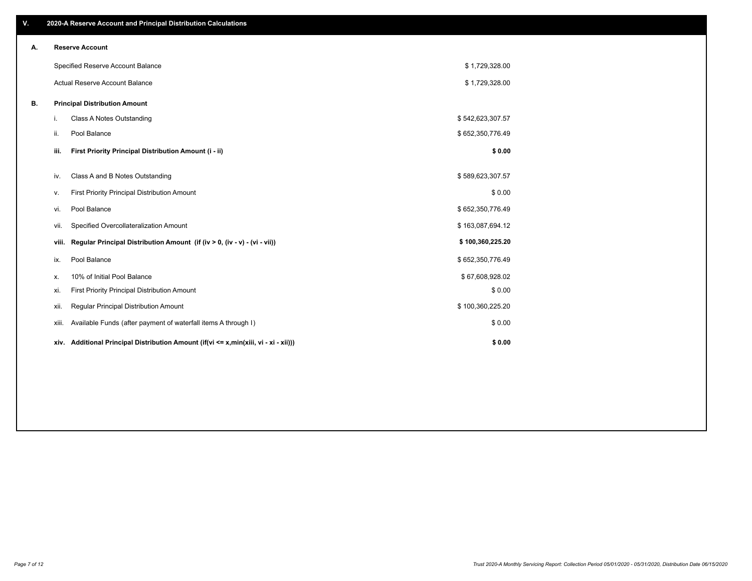| V. |       | 2020-A Reserve Account and Principal Distribution Calculations                       |                  |  |
|----|-------|--------------------------------------------------------------------------------------|------------------|--|
| А. |       | <b>Reserve Account</b>                                                               |                  |  |
|    |       | Specified Reserve Account Balance                                                    | \$1,729,328.00   |  |
|    |       | Actual Reserve Account Balance                                                       | \$1,729,328.00   |  |
| В. |       | <b>Principal Distribution Amount</b>                                                 |                  |  |
|    | i.    | Class A Notes Outstanding                                                            | \$542,623,307.57 |  |
|    | ii.   | Pool Balance                                                                         | \$652,350,776.49 |  |
|    | iii.  | First Priority Principal Distribution Amount (i - ii)                                | \$0.00           |  |
|    | iv.   | Class A and B Notes Outstanding                                                      | \$589,623,307.57 |  |
|    | v.    | First Priority Principal Distribution Amount                                         | \$0.00           |  |
|    | vi.   | Pool Balance                                                                         | \$652,350,776.49 |  |
|    | vii.  | Specified Overcollateralization Amount                                               | \$163,087,694.12 |  |
|    | viii. | Regular Principal Distribution Amount (if (iv > 0, (iv - v) - (vi - vii))            | \$100,360,225.20 |  |
|    | ix.   | Pool Balance                                                                         | \$652,350,776.49 |  |
|    | х.    | 10% of Initial Pool Balance                                                          | \$67,608,928.02  |  |
|    | xi.   | First Priority Principal Distribution Amount                                         | \$0.00           |  |
|    | xii.  | <b>Regular Principal Distribution Amount</b>                                         | \$100,360,225.20 |  |
|    | xiii. | Available Funds (after payment of waterfall items A through I)                       | \$0.00           |  |
|    |       | xiv. Additional Principal Distribution Amount (if(vi <= x,min(xiii, vi - xi - xii))) | \$0.00           |  |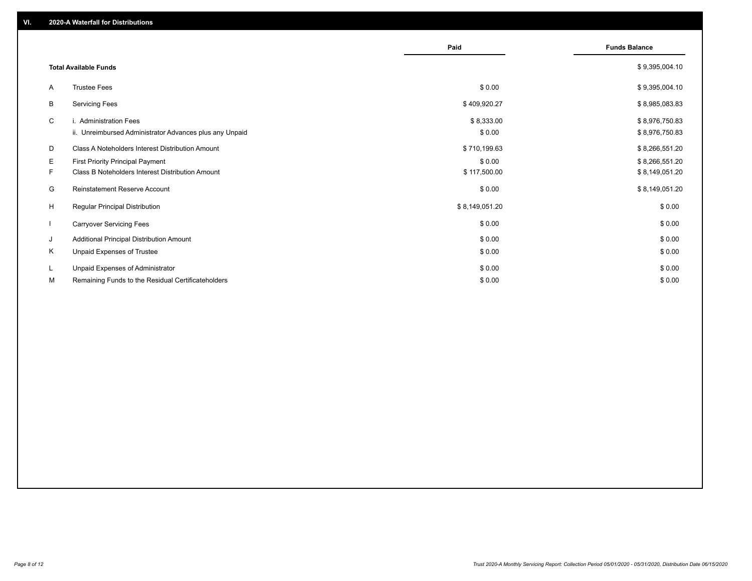|              |                                                         | Paid           | <b>Funds Balance</b> |
|--------------|---------------------------------------------------------|----------------|----------------------|
|              | <b>Total Available Funds</b>                            |                | \$9,395,004.10       |
| A            | <b>Trustee Fees</b>                                     | \$0.00         | \$9,395,004.10       |
| В            | <b>Servicing Fees</b>                                   | \$409,920.27   | \$8,985,083.83       |
| C            | i. Administration Fees                                  | \$8,333.00     | \$8,976,750.83       |
|              | ii. Unreimbursed Administrator Advances plus any Unpaid | \$0.00         | \$8,976,750.83       |
| D            | Class A Noteholders Interest Distribution Amount        | \$710,199.63   | \$8,266,551.20       |
| E.           | <b>First Priority Principal Payment</b>                 | \$0.00         | \$8,266,551.20       |
| F.           | Class B Noteholders Interest Distribution Amount        | \$117,500.00   | \$8,149,051.20       |
| G            | <b>Reinstatement Reserve Account</b>                    | \$0.00         | \$8,149,051.20       |
| H            | <b>Regular Principal Distribution</b>                   | \$8,149,051.20 | \$0.00               |
| $\mathbf{I}$ | <b>Carryover Servicing Fees</b>                         | \$0.00         | \$0.00               |
| J            | Additional Principal Distribution Amount                | \$0.00         | \$0.00               |
| Κ            | Unpaid Expenses of Trustee                              | \$0.00         | \$0.00               |
| L            | Unpaid Expenses of Administrator                        | \$0.00         | \$0.00               |
| М            | Remaining Funds to the Residual Certificateholders      | \$0.00         | \$0.00               |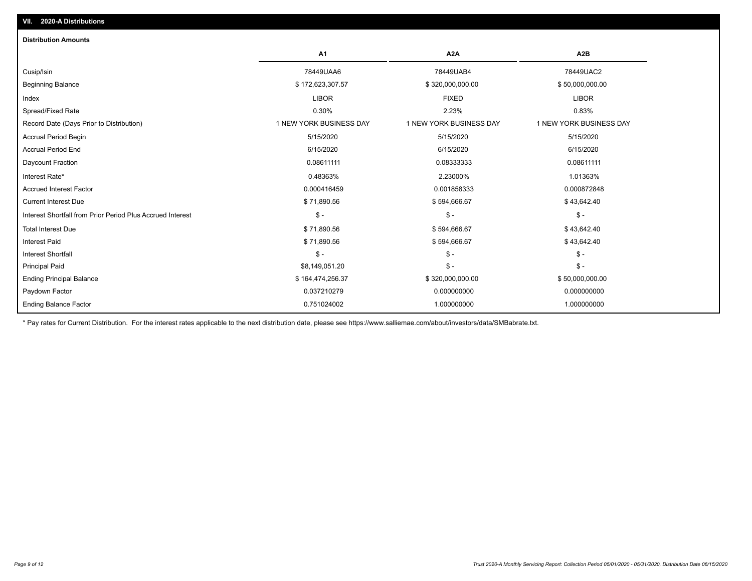| <b>Distribution Amounts</b>                                |                         |                         |                         |
|------------------------------------------------------------|-------------------------|-------------------------|-------------------------|
|                                                            | A <sub>1</sub>          | A <sub>2</sub> A        | A <sub>2</sub> B        |
| Cusip/Isin                                                 | 78449UAA6               | 78449UAB4               | 78449UAC2               |
| <b>Beginning Balance</b>                                   | \$172,623,307.57        | \$320,000,000.00        | \$50,000,000.00         |
| Index                                                      | <b>LIBOR</b>            | <b>FIXED</b>            | <b>LIBOR</b>            |
| Spread/Fixed Rate                                          | 0.30%                   | 2.23%                   | 0.83%                   |
| Record Date (Days Prior to Distribution)                   | 1 NEW YORK BUSINESS DAY | 1 NEW YORK BUSINESS DAY | 1 NEW YORK BUSINESS DAY |
| Accrual Period Begin                                       | 5/15/2020               | 5/15/2020               | 5/15/2020               |
| <b>Accrual Period End</b>                                  | 6/15/2020               | 6/15/2020               | 6/15/2020               |
| Daycount Fraction                                          | 0.08611111              | 0.08333333              | 0.08611111              |
| Interest Rate*                                             | 0.48363%                | 2.23000%                | 1.01363%                |
| <b>Accrued Interest Factor</b>                             | 0.000416459             | 0.001858333             | 0.000872848             |
| <b>Current Interest Due</b>                                | \$71,890.56             | \$594,666.67            | \$43,642.40             |
| Interest Shortfall from Prior Period Plus Accrued Interest | $\frac{1}{2}$           | $\frac{1}{2}$           | $$ -$                   |
| <b>Total Interest Due</b>                                  | \$71,890.56             | \$594,666.67            | \$43,642.40             |
| <b>Interest Paid</b>                                       | \$71,890.56             | \$594,666.67            | \$43,642.40             |
| <b>Interest Shortfall</b>                                  | $\mathsf{\$}$ -         | $\mathsf{\$}$ -         | $\mathsf{\$}$ -         |
| <b>Principal Paid</b>                                      | \$8,149,051.20          | $$ -$                   | $\mathsf{\$}$ -         |
| <b>Ending Principal Balance</b>                            | \$164,474,256.37        | \$320,000,000.00        | \$50,000,000.00         |
| Paydown Factor                                             | 0.037210279             | 0.000000000             | 0.000000000             |
| <b>Ending Balance Factor</b>                               | 0.751024002             | 1.000000000             | 1.000000000             |

\* Pay rates for Current Distribution. For the interest rates applicable to the next distribution date, please see https://www.salliemae.com/about/investors/data/SMBabrate.txt.

**VII. 2020-A Distributions**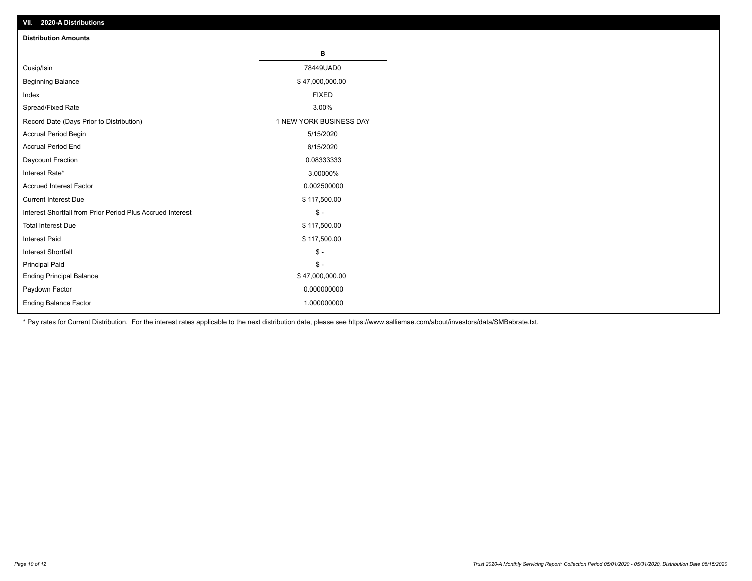| VII. 2020-A Distributions                                  |                         |
|------------------------------------------------------------|-------------------------|
| <b>Distribution Amounts</b>                                |                         |
|                                                            | В                       |
| Cusip/Isin                                                 | 78449UAD0               |
| <b>Beginning Balance</b>                                   | \$47,000,000.00         |
| Index                                                      | <b>FIXED</b>            |
| Spread/Fixed Rate                                          | 3.00%                   |
| Record Date (Days Prior to Distribution)                   | 1 NEW YORK BUSINESS DAY |
| Accrual Period Begin                                       | 5/15/2020               |
| <b>Accrual Period End</b>                                  | 6/15/2020               |
| Daycount Fraction                                          | 0.08333333              |
| Interest Rate*                                             | 3.00000%                |
| <b>Accrued Interest Factor</b>                             | 0.002500000             |
| <b>Current Interest Due</b>                                | \$117,500.00            |
| Interest Shortfall from Prior Period Plus Accrued Interest | $\mathcal{S}$ -         |
| <b>Total Interest Due</b>                                  | \$117,500.00            |
| <b>Interest Paid</b>                                       | \$117,500.00            |
| Interest Shortfall                                         | $\mathbb{S}$ -          |
| <b>Principal Paid</b>                                      | $\frac{1}{2}$           |
| <b>Ending Principal Balance</b>                            | \$47,000,000.00         |
| Paydown Factor                                             | 0.000000000             |
| <b>Ending Balance Factor</b>                               | 1.000000000             |

\* Pay rates for Current Distribution. For the interest rates applicable to the next distribution date, please see https://www.salliemae.com/about/investors/data/SMBabrate.txt.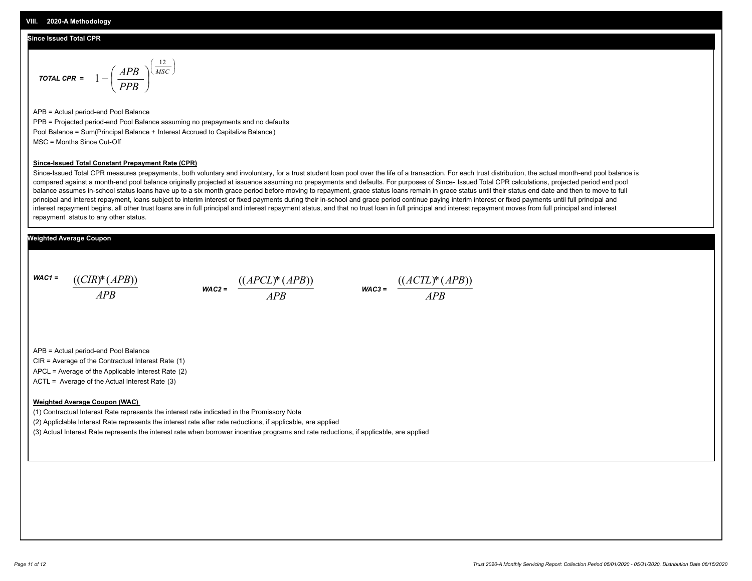## **Since Issued Total CPR**

$$
\text{total CPR} = 1 - \left(\frac{APB}{PPB}\right)^{\left(\frac{12}{MSC}\right)}
$$

APB = Actual period-end Pool Balance PPB = Projected period-end Pool Balance assuming no prepayments and no defaults Pool Balance = Sum(Principal Balance + Interest Accrued to Capitalize Balance) MSC = Months Since Cut-Off

#### **Since-Issued Total Constant Prepayment Rate (CPR)**

Since-Issued Total CPR measures prepayments, both voluntary and involuntary, for a trust student loan pool over the life of a transaction. For each trust distribution, the actual month-end pool balance is compared against a month-end pool balance originally projected at issuance assuming no prepayments and defaults. For purposes of Since- Issued Total CPR calculations, projected period end pool balance assumes in-school status loans have up to a six month grace period before moving to repayment, grace status loans remain in grace status until their status end date and then to move to full principal and interest repayment, loans subject to interim interest or fixed payments during their in-school and grace period continue paying interim interest or fixed payments until full principal and interest repayment begins, all other trust loans are in full principal and interest repayment status, and that no trust loan in full principal and interest repayment moves from full principal and interest repayment status to any other status.

## **Weighted Average Coupon**

*WAC1 = APB* ((*CIR*)\*(*APB*))

*WAC2 = APB*  $\frac{((APCL)^{*}(APB))}{APB}$  wac<sub>3</sub> =  $\frac{((ACTL)^{*}(A)P}{APB}$ 



APB = Actual period-end Pool Balance

CIR = Average of the Contractual Interest Rate (1)

APCL = Average of the Applicable Interest Rate (2)

ACTL = Average of the Actual Interest Rate (3)

### **Weighted Average Coupon (WAC)**

(1) Contractual Interest Rate represents the interest rate indicated in the Promissory Note

(2) Appliclable Interest Rate represents the interest rate after rate reductions, if applicable, are applied

(3) Actual Interest Rate represents the interest rate when borrower incentive programs and rate reductions, if applicable, are applied